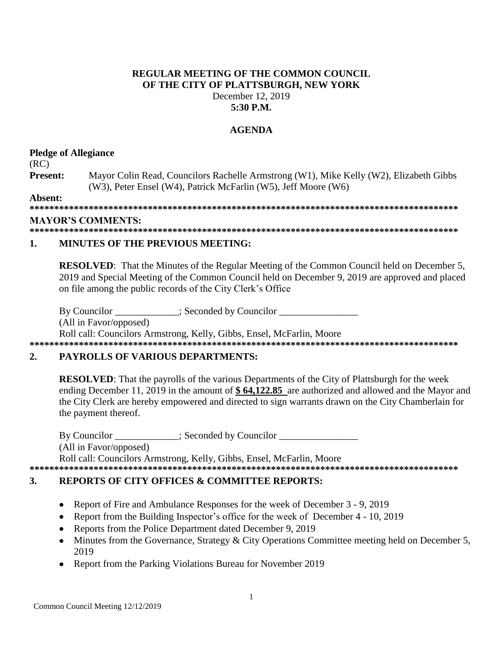## **REGULAR MEETING OF THE COMMON COUNCIL OF THE CITY OF PLATTSBURGH, NEW YORK** December 12, 2019 **5:30 P.M.**

## **AGENDA**

## **Pledge of Allegiance**

## (RC)

**Present:** Mayor Colin Read, Councilors Rachelle Armstrong (W1), Mike Kelly (W2), Elizabeth Gibbs (W3), Peter Ensel (W4), Patrick McFarlin (W5), Jeff Moore (W6)

**Absent:**

**\*\*\*\*\*\*\*\*\*\*\*\*\*\*\*\*\*\*\*\*\*\*\*\*\*\*\*\*\*\*\*\*\*\*\*\*\*\*\*\*\*\*\*\*\*\*\*\*\*\*\*\*\*\*\*\*\*\*\*\*\*\*\*\*\*\*\*\*\*\*\*\*\*\*\*\*\*\*\*\*\*\*\*\*\*\*\***

## **MAYOR'S COMMENTS:**

**\*\*\*\*\*\*\*\*\*\*\*\*\*\*\*\*\*\*\*\*\*\*\*\*\*\*\*\*\*\*\*\*\*\*\*\*\*\*\*\*\*\*\*\*\*\*\*\*\*\*\*\*\*\*\*\*\*\*\*\*\*\*\*\*\*\*\*\*\*\*\*\*\*\*\*\*\*\*\*\*\*\*\*\*\*\*\***

## **1. MINUTES OF THE PREVIOUS MEETING:**

**RESOLVED:** That the Minutes of the Regular Meeting of the Common Council held on December 5, 2019 and Special Meeting of the Common Council held on December 9, 2019 are approved and placed on file among the public records of the City Clerk's Office

By Councilor  $\therefore$  Seconded by Councilor (All in Favor/opposed) Roll call: Councilors Armstrong, Kelly, Gibbs, Ensel, McFarlin, Moore

#### **\*\*\*\*\*\*\*\*\*\*\*\*\*\*\*\*\*\*\*\*\*\*\*\*\*\*\*\*\*\*\*\*\*\*\*\*\*\*\*\*\*\*\*\*\*\*\*\*\*\*\*\*\*\*\*\*\*\*\*\*\*\*\*\*\*\*\*\*\*\*\*\*\*\*\*\*\*\*\*\*\*\*\*\*\*\*\***

## **2. PAYROLLS OF VARIOUS DEPARTMENTS:**

**RESOLVED**: That the payrolls of the various Departments of the City of Plattsburgh for the week ending December 11, 2019 in the amount of **\$ 64,122.85** are authorized and allowed and the Mayor and the City Clerk are hereby empowered and directed to sign warrants drawn on the City Chamberlain for the payment thereof.

By Councilor \_\_\_\_\_\_\_\_\_\_\_; Seconded by Councilor \_\_\_\_\_\_\_\_\_\_\_\_\_\_\_\_\_\_\_\_\_\_\_\_\_\_\_\_\_\_\_\_ (All in Favor/opposed) Roll call: Councilors Armstrong, Kelly, Gibbs, Ensel, McFarlin, Moore **\*\*\*\*\*\*\*\*\*\*\*\*\*\*\*\*\*\*\*\*\*\*\*\*\*\*\*\*\*\*\*\*\*\*\*\*\*\*\*\*\*\*\*\*\*\*\*\*\*\*\*\*\*\*\*\*\*\*\*\*\*\*\*\*\*\*\*\*\*\*\*\*\*\*\*\*\*\*\*\*\*\*\*\*\*\*\***

## **3. REPORTS OF CITY OFFICES & COMMITTEE REPORTS:**

- Report of Fire and Ambulance Responses for the week of December 3 9, 2019
- Report from the Building Inspector's office for the week of December 4 10, 2019
- Reports from the Police Department dated December 9, 2019
- Minutes from the Governance, Strategy & City Operations Committee meeting held on December 5, 2019
- Report from the Parking Violations Bureau for November 2019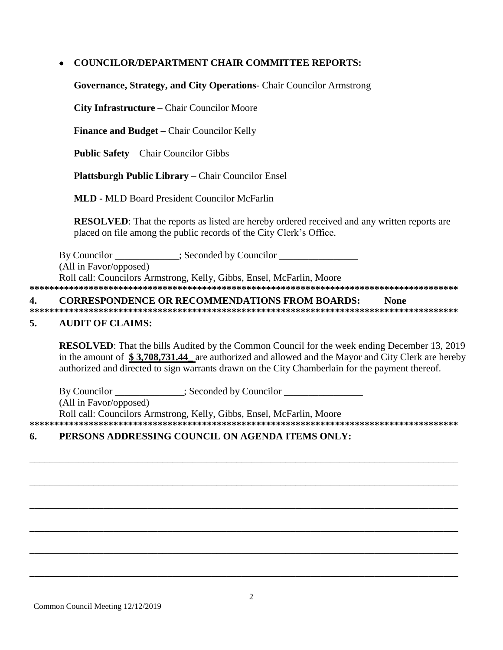# **COUNCILOR/DEPARTMENT CHAIR COMMITTEE REPORTS:**

Governance, Strategy, and City Operations- Chair Councilor Armstrong

City Infrastructure – Chair Councilor Moore

Finance and Budget - Chair Councilor Kelly

**Public Safety - Chair Councilor Gibbs** 

Plattsburgh Public Library – Chair Councilor Ensel

**MLD - MLD Board President Councilor McFarlin** 

**RESOLVED:** That the reports as listed are hereby ordered received and any written reports are placed on file among the public records of the City Clerk's Office.

By Councilor : Seconded by Councilor

(All in Favor/opposed)

Roll call: Councilors Armstrong, Kelly, Gibbs, Ensel, McFarlin, Moore

 $\overline{\mathbf{4}}$ . **CORRESPONDENCE OR RECOMMENDATIONS FROM BOARDS: None** 

#### $\overline{5}$ . **AUDIT OF CLAIMS:**

**RESOLVED:** That the bills Audited by the Common Council for the week ending December 13, 2019 in the amount of \$3,708,731.44 are authorized and allowed and the Mayor and City Clerk are hereby authorized and directed to sign warrants drawn on the City Chamberlain for the payment thereof.

Seconded by Councilor By Councilor

(All in Favor/opposed)

Roll call: Councilors Armstrong, Kelly, Gibbs, Ensel, McFarlin, Moore

#### PERSONS ADDRESSING COUNCIL ON AGENDA ITEMS ONLY: 6.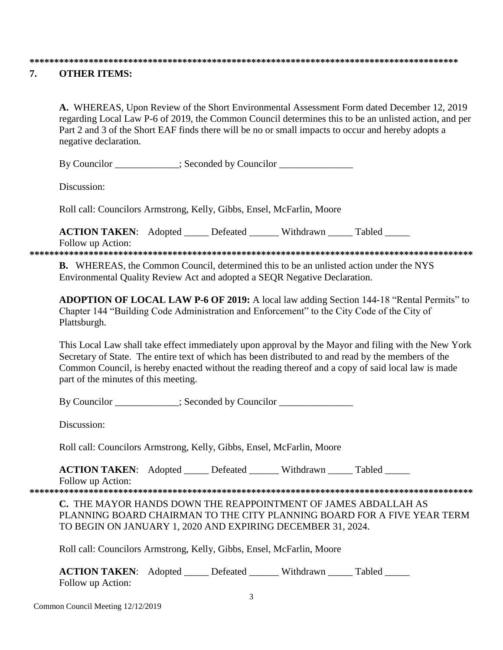#### 

#### $7<sub>1</sub>$ **OTHER ITEMS:**

A. WHEREAS, Upon Review of the Short Environmental Assessment Form dated December 12, 2019 regarding Local Law P-6 of 2019, the Common Council determines this to be an unlisted action, and per Part 2 and 3 of the Short EAF finds there will be no or small impacts to occur and hereby adopts a negative declaration.

By Councilor \_\_\_\_\_\_\_\_\_\_\_; Seconded by Councilor \_\_\_\_\_\_\_\_\_\_\_\_\_\_\_\_\_\_\_\_\_\_\_\_\_\_\_\_\_\_\_\_

Discussion:

Roll call: Councilors Armstrong, Kelly, Gibbs, Ensel, McFarlin, Moore

**ACTION TAKEN:** Adopted Lefeated Withdrawn Tabled

Follow up Action:

**B.** WHEREAS, the Common Council, determined this to be an unlisted action under the NYS Environmental Quality Review Act and adopted a SEQR Negative Declaration.

ADOPTION OF LOCAL LAW P-6 OF 2019: A local law adding Section 144-18 "Rental Permits" to Chapter 144 "Building Code Administration and Enforcement" to the City Code of the City of Plattsburgh.

This Local Law shall take effect immediately upon approval by the Mayor and filing with the New York Secretary of State. The entire text of which has been distributed to and read by the members of the Common Council, is hereby enacted without the reading thereof and a copy of said local law is made part of the minutes of this meeting.

By Councilor : Seconded by Councilor

Discussion:

Roll call: Councilors Armstrong, Kelly, Gibbs, Ensel, McFarlin, Moore

**ACTION TAKEN:** Adopted Defeated Withdrawn Tabled

Follow up Action: 

C. THE MAYOR HANDS DOWN THE REAPPOINTMENT OF JAMES ABDALLAH AS PLANNING BOARD CHAIRMAN TO THE CITY PLANNING BOARD FOR A FIVE YEAR TERM TO BEGIN ON JANUARY 1, 2020 AND EXPIRING DECEMBER 31, 2024.

Roll call: Councilors Armstrong, Kelly, Gibbs, Ensel, McFarlin, Moore

| <b>ACTION TAKEN:</b> Adopted | Defeated | Withdrawn | Tabled |
|------------------------------|----------|-----------|--------|
| Follow up Action:            |          |           |        |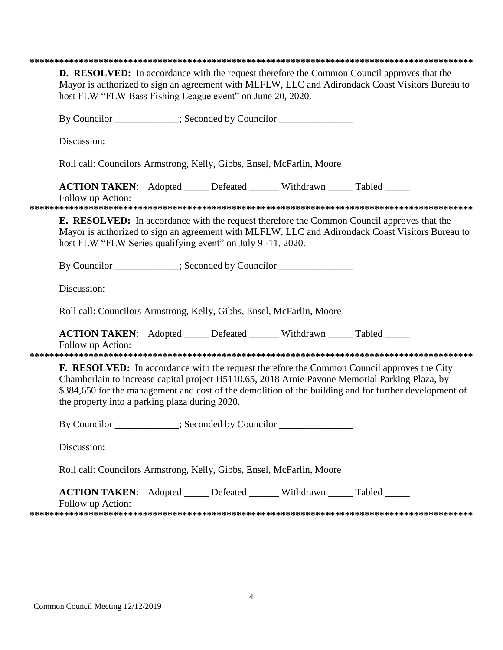| <b>D. RESOLVED:</b> In accordance with the request therefore the Common Council approves that the<br>Mayor is authorized to sign an agreement with MLFLW, LLC and Adirondack Coast Visitors Bureau to<br>host FLW "FLW Bass Fishing League event" on June 20, 2020.                                                                                             |  |  |  |  |  |
|-----------------------------------------------------------------------------------------------------------------------------------------------------------------------------------------------------------------------------------------------------------------------------------------------------------------------------------------------------------------|--|--|--|--|--|
| By Councilor ___________; Seconded by Councilor ________________________________                                                                                                                                                                                                                                                                                |  |  |  |  |  |
| Discussion:                                                                                                                                                                                                                                                                                                                                                     |  |  |  |  |  |
| Roll call: Councilors Armstrong, Kelly, Gibbs, Ensel, McFarlin, Moore                                                                                                                                                                                                                                                                                           |  |  |  |  |  |
| <b>ACTION TAKEN:</b> Adopted _____ Defeated ______ Withdrawn _____ Tabled _____<br>Follow up Action:                                                                                                                                                                                                                                                            |  |  |  |  |  |
| <b>E. RESOLVED:</b> In accordance with the request therefore the Common Council approves that the<br>Mayor is authorized to sign an agreement with MLFLW, LLC and Adirondack Coast Visitors Bureau to<br>host FLW "FLW Series qualifying event" on July 9 -11, 2020.                                                                                            |  |  |  |  |  |
| By Councilor ___________; Seconded by Councilor ________________________________                                                                                                                                                                                                                                                                                |  |  |  |  |  |
| Discussion:                                                                                                                                                                                                                                                                                                                                                     |  |  |  |  |  |
| Roll call: Councilors Armstrong, Kelly, Gibbs, Ensel, McFarlin, Moore                                                                                                                                                                                                                                                                                           |  |  |  |  |  |
| ACTION TAKEN: Adopted _____ Defeated ______ Withdrawn _____ Tabled _____<br>Follow up Action:                                                                                                                                                                                                                                                                   |  |  |  |  |  |
| <b>F. RESOLVED:</b> In accordance with the request therefore the Common Council approves the City<br>Chamberlain to increase capital project H5110.65, 2018 Arnie Pavone Memorial Parking Plaza, by<br>\$384,650 for the management and cost of the demolition of the building and for further development of<br>the property into a parking plaza during 2020. |  |  |  |  |  |
| By Councilor __________; Seconded by Councilor _____________                                                                                                                                                                                                                                                                                                    |  |  |  |  |  |
| Discussion:                                                                                                                                                                                                                                                                                                                                                     |  |  |  |  |  |
| Roll call: Councilors Armstrong, Kelly, Gibbs, Ensel, McFarlin, Moore                                                                                                                                                                                                                                                                                           |  |  |  |  |  |
| <b>ACTION TAKEN:</b> Adopted _____ Defeated ______ Withdrawn _____ Tabled _____<br>Follow up Action:                                                                                                                                                                                                                                                            |  |  |  |  |  |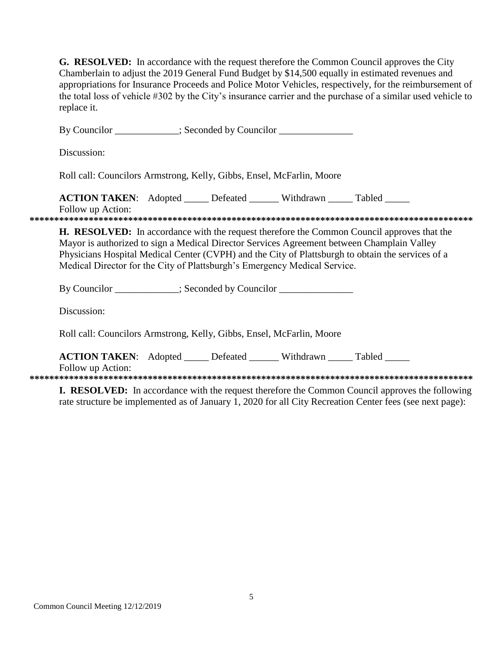G. RESOLVED: In accordance with the request therefore the Common Council approves the City Chamberlain to adjust the 2019 General Fund Budget by \$14,500 equally in estimated revenues and appropriations for Insurance Proceeds and Police Motor Vehicles, respectively, for the reimbursement of the total loss of vehicle #302 by the City's insurance carrier and the purchase of a similar used vehicle to replace it.

| By Councilor ___________; Seconded by Councilor _______________                                                                                                                                                                                                                                                                                                                                                                          |
|------------------------------------------------------------------------------------------------------------------------------------------------------------------------------------------------------------------------------------------------------------------------------------------------------------------------------------------------------------------------------------------------------------------------------------------|
| Discussion:                                                                                                                                                                                                                                                                                                                                                                                                                              |
| Roll call: Councilors Armstrong, Kelly, Gibbs, Ensel, McFarlin, Moore                                                                                                                                                                                                                                                                                                                                                                    |
| <b>ACTION TAKEN:</b> Adopted ______ Defeated _______ Withdrawn ______ Tabled ______<br>Follow up Action:                                                                                                                                                                                                                                                                                                                                 |
| <b>H. RESOLVED:</b> In accordance with the request therefore the Common Council approves that the<br>Mayor is authorized to sign a Medical Director Services Agreement between Champlain Valley<br>Physicians Hospital Medical Center (CVPH) and the City of Plattsburgh to obtain the services of a<br>Medical Director for the City of Plattsburgh's Emergency Medical Service.                                                        |
| By Councilor ____________; Seconded by Councilor _______________________________                                                                                                                                                                                                                                                                                                                                                         |
| Discussion:                                                                                                                                                                                                                                                                                                                                                                                                                              |
| Roll call: Councilors Armstrong, Kelly, Gibbs, Ensel, McFarlin, Moore                                                                                                                                                                                                                                                                                                                                                                    |
| <b>ACTION TAKEN:</b> Adopted _____ Defeated ______ Withdrawn _____ Tabled _____<br>Follow up Action:                                                                                                                                                                                                                                                                                                                                     |
| <b>I. RESOLVED:</b> In accordance with the request therefore the Common Council approves the following<br>$\mathbf{1}$ at $\mathbf{1}$ $\mathbf{2}$ $\mathbf{3}$ $\mathbf{3}$ $\mathbf{4}$ $\mathbf{3}$ $\mathbf{4}$ $\mathbf{3}$ $\mathbf{4}$ $\mathbf{5}$ $\mathbf{6}$ $\mathbf{6}$ $\mathbf{7}$ $\mathbf{8}$ $\mathbf{8}$ $\mathbf{9}$ $\mathbf{1}$ $\mathbf{1}$ $\mathbf{3}$ $\mathbf{5}$ $\mathbf{8}$ $\mathbf{1}$ $\mathbf{1}$ $\$ |

rate structure be implemented as of January 1, 2020 for all City Recreation Center fees (see next page):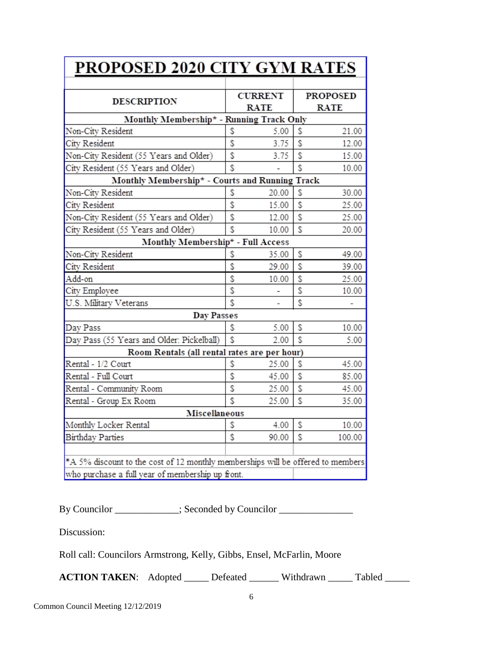| <b>PROPOSED 2020 CITY GYM RATES</b>                                             |    |                               |    |                                |  |  |
|---------------------------------------------------------------------------------|----|-------------------------------|----|--------------------------------|--|--|
| <b>DESCRIPTION</b>                                                              |    | <b>CURRENT</b><br><b>RATE</b> |    | <b>PROPOSED</b><br><b>RATE</b> |  |  |
| Monthly Membership* - Running Track Only                                        |    |                               |    |                                |  |  |
| Non-City Resident                                                               | \$ | 5.00                          | S  | 21.00                          |  |  |
| City Resident                                                                   | \$ | 3.75                          | \$ | 12.00                          |  |  |
| Non-City Resident (55 Years and Older)                                          | \$ | 3.75                          | \$ | 15.00                          |  |  |
| City Resident (55 Years and Older)                                              | Ś. |                               | \$ | 10.00                          |  |  |
| Monthly Membership* - Courts and Running Track                                  |    |                               |    |                                |  |  |
| Non-City Resident                                                               | \$ | 20.00                         | \$ | 30.00                          |  |  |
| City Resident                                                                   | \$ | 15.00                         | \$ | 25.00                          |  |  |
| Non-City Resident (55 Years and Older)                                          | \$ | 12.00                         | \$ | 25.00                          |  |  |
| City Resident (55 Years and Older)                                              | \$ | 10.00                         | \$ | 20.00                          |  |  |
| Monthly Membership* - Full Access                                               |    |                               |    |                                |  |  |
| Non-City Resident                                                               | \$ | 35.00                         | \$ | 49.00                          |  |  |
| City Resident                                                                   | \$ | 29.00                         | \$ | 39.00                          |  |  |
| Add-on                                                                          | \$ | 10.00                         | \$ | 25.00                          |  |  |
| City Employee                                                                   | \$ |                               | \$ | 10.00                          |  |  |
| U.S. Military Veterans                                                          |    |                               | \$ |                                |  |  |
| Day Passes                                                                      |    |                               |    |                                |  |  |
| Day Pass                                                                        | \$ | 5.00                          | \$ | 10.00                          |  |  |
| Day Pass (55 Years and Older: Pickelball)                                       | \$ | 2.00                          | \$ | 5.00                           |  |  |
| Room Rentals (all rental rates are per hour)                                    |    |                               |    |                                |  |  |
| Rental - 1/2 Court                                                              | \$ | 25.00                         | \$ | 45.00                          |  |  |
| Rental - Full Court                                                             | \$ | 45.00                         | \$ | 85.00                          |  |  |
| Rental - Community Room                                                         | \$ | 25.00                         | \$ | 45.00                          |  |  |
| Rental - Group Ex Room                                                          | Ś. | 25.00                         | \$ | 35.00                          |  |  |
| Miscellaneous                                                                   |    |                               |    |                                |  |  |
| Monthly Locker Rental                                                           | \$ | 4.00                          | \$ | 10.00                          |  |  |
| Birthday Parties                                                                | \$ | 90.00                         | \$ | 100.00                         |  |  |
|                                                                                 |    |                               |    |                                |  |  |
| *A 5% discount to the cost of 12 monthly memberships will be offered to members |    |                               |    |                                |  |  |
| who purchase a full year of membership up front.                                |    |                               |    |                                |  |  |

By Councilor \_\_\_\_\_\_\_\_\_\_; Seconded by Councilor \_\_\_\_\_\_\_\_\_\_\_\_\_\_\_\_\_\_\_\_\_\_\_\_\_\_\_\_\_\_\_\_\_

Discussion:

Roll call: Councilors Armstrong, Kelly, Gibbs, Ensel, McFarlin, Moore

ACTION TAKEN: Adopted \_\_\_\_\_ Defeated \_\_\_\_\_\_ Withdrawn \_\_\_\_\_ Tabled \_\_\_\_\_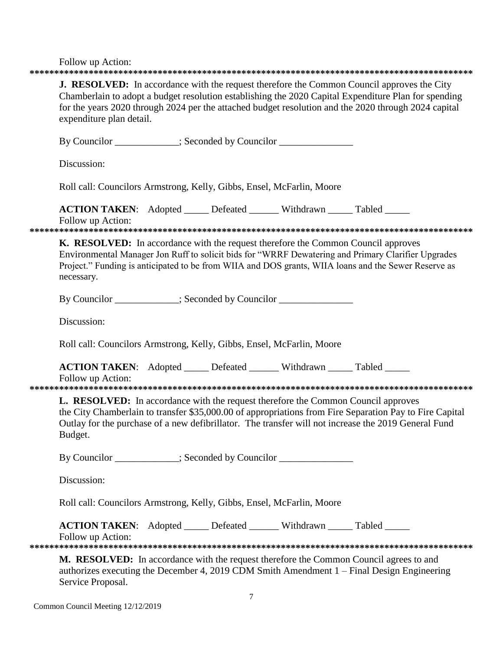$F_0$ llow un Action

| FOIIOW up Action:                                                                                                                                                                                                                                                                                                                             |  |  |  |  |
|-----------------------------------------------------------------------------------------------------------------------------------------------------------------------------------------------------------------------------------------------------------------------------------------------------------------------------------------------|--|--|--|--|
| <b>J. RESOLVED:</b> In accordance with the request therefore the Common Council approves the City<br>Chamberlain to adopt a budget resolution establishing the 2020 Capital Expenditure Plan for spending<br>for the years 2020 through 2024 per the attached budget resolution and the 2020 through 2024 capital<br>expenditure plan detail. |  |  |  |  |
| By Councilor ___________; Seconded by Councilor ______________                                                                                                                                                                                                                                                                                |  |  |  |  |
| Discussion:                                                                                                                                                                                                                                                                                                                                   |  |  |  |  |
| Roll call: Councilors Armstrong, Kelly, Gibbs, Ensel, McFarlin, Moore                                                                                                                                                                                                                                                                         |  |  |  |  |
| <b>ACTION TAKEN:</b> Adopted _____ Defeated ______ Withdrawn _____ Tabled _____<br>Follow up Action:                                                                                                                                                                                                                                          |  |  |  |  |
| <b>K. RESOLVED:</b> In accordance with the request therefore the Common Council approves<br>Environmental Manager Jon Ruff to solicit bids for "WRRF Dewatering and Primary Clarifier Upgrades<br>Project." Funding is anticipated to be from WIIA and DOS grants, WIIA loans and the Sewer Reserve as<br>necessary.                          |  |  |  |  |
| By Councilor __________; Seconded by Councilor ______________                                                                                                                                                                                                                                                                                 |  |  |  |  |
| Discussion:                                                                                                                                                                                                                                                                                                                                   |  |  |  |  |
| Roll call: Councilors Armstrong, Kelly, Gibbs, Ensel, McFarlin, Moore                                                                                                                                                                                                                                                                         |  |  |  |  |
| <b>ACTION TAKEN:</b> Adopted _____ Defeated ______ Withdrawn _____ Tabled _____<br>Follow up Action:                                                                                                                                                                                                                                          |  |  |  |  |
| <b>L. RESOLVED:</b> In accordance with the request therefore the Common Council approves<br>the City Chamberlain to transfer \$35,000.00 of appropriations from Fire Separation Pay to Fire Capital<br>Outlay for the purchase of a new defibrillator. The transfer will not increase the 2019 General Fund<br>Budget.                        |  |  |  |  |
| By Councilor ___________; Seconded by Councilor _______________                                                                                                                                                                                                                                                                               |  |  |  |  |
| Discussion:                                                                                                                                                                                                                                                                                                                                   |  |  |  |  |
| Roll call: Councilors Armstrong, Kelly, Gibbs, Ensel, McFarlin, Moore                                                                                                                                                                                                                                                                         |  |  |  |  |
| <b>ACTION TAKEN:</b> Adopted _____ Defeated ______ Withdrawn _____ Tabled _____<br>Follow up Action:                                                                                                                                                                                                                                          |  |  |  |  |
| M. RESOLVED: In accordance with the request therefore the Common Council agrees to and<br>authorizes executing the December 4, 2019 CDM Smith Amendment 1 – Final Design Engineering<br>Service Proposal.                                                                                                                                     |  |  |  |  |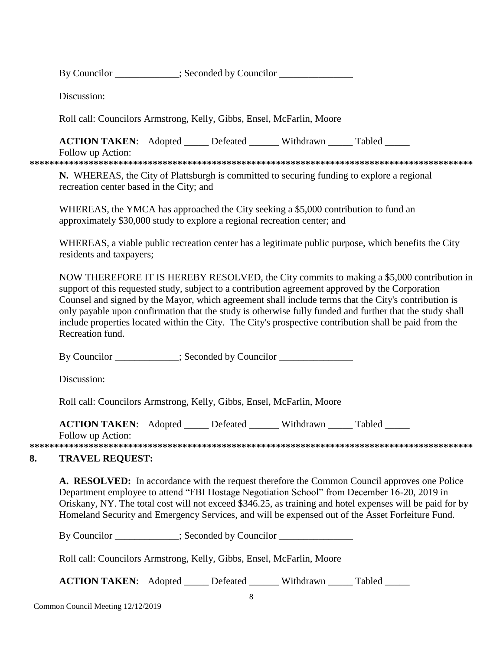By Councilor \_\_\_\_\_\_\_\_\_\_\_\_; Seconded by Councilor

Discussion:

Roll call: Councilors Armstrong, Kelly, Gibbs, Ensel, McFarlin, Moore

**ACTION TAKEN:** Adopted Defeated Withdrawn Tabled

Follow up Action:

**\*\*\*\*\*\*\*\*\*\*\*\*\*\*\*\*\*\*\*\*\*\*\*\*\*\*\*\*\*\*\*\*\*\*\*\*\*\*\*\*\*\*\*\*\*\*\*\*\*\*\*\*\*\*\*\*\*\*\*\*\*\*\*\*\*\*\*\*\*\*\*\*\*\*\*\*\*\*\*\*\*\*\*\*\*\*\*\*\*\***

**N.** WHEREAS, the City of Plattsburgh is committed to securing funding to explore a regional recreation center based in the City; and

WHEREAS, the YMCA has approached the City seeking a \$5,000 contribution to fund an approximately \$30,000 study to explore a regional recreation center; and

WHEREAS, a viable public recreation center has a legitimate public purpose, which benefits the City residents and taxpayers;

NOW THEREFORE IT IS HEREBY RESOLVED, the City commits to making a \$5,000 contribution in support of this requested study, subject to a contribution agreement approved by the Corporation Counsel and signed by the Mayor, which agreement shall include terms that the City's contribution is only payable upon confirmation that the study is otherwise fully funded and further that the study shall include properties located within the City. The City's prospective contribution shall be paid from the Recreation fund.

By Councilor \_\_\_\_\_\_\_\_\_\_; Seconded by Councilor \_\_\_\_\_\_\_\_\_\_\_\_\_\_\_\_\_\_\_\_\_\_\_\_\_\_\_\_\_\_\_\_\_

Discussion:

Roll call: Councilors Armstrong, Kelly, Gibbs, Ensel, McFarlin, Moore

**ACTION TAKEN:** Adopted Defeated Withdrawn Tabled

Follow up Action:

**\*\*\*\*\*\*\*\*\*\*\*\*\*\*\*\*\*\*\*\*\*\*\*\*\*\*\*\*\*\*\*\*\*\*\*\*\*\*\*\*\*\*\*\*\*\*\*\*\*\*\*\*\*\*\*\*\*\*\*\*\*\*\*\*\*\*\*\*\*\*\*\*\*\*\*\*\*\*\*\*\*\*\*\*\*\*\*\*\*\***

## **8. TRAVEL REQUEST:**

**A. RESOLVED:** In accordance with the request therefore the Common Council approves one Police Department employee to attend "FBI Hostage Negotiation School" from December 16-20, 2019 in Oriskany, NY. The total cost will not exceed \$346.25, as training and hotel expenses will be paid for by Homeland Security and Emergency Services, and will be expensed out of the Asset Forfeiture Fund.

By Councilor \_\_\_\_\_\_\_\_\_\_; Seconded by Councilor \_\_\_\_\_\_\_\_\_\_\_\_\_\_\_\_\_\_\_\_\_\_\_\_\_\_\_\_\_\_\_\_\_

Roll call: Councilors Armstrong, Kelly, Gibbs, Ensel, McFarlin, Moore

**ACTION TAKEN:** Adopted \_\_\_\_\_ Defeated \_\_\_\_\_\_ Withdrawn \_\_\_\_\_ Tabled \_\_\_\_\_